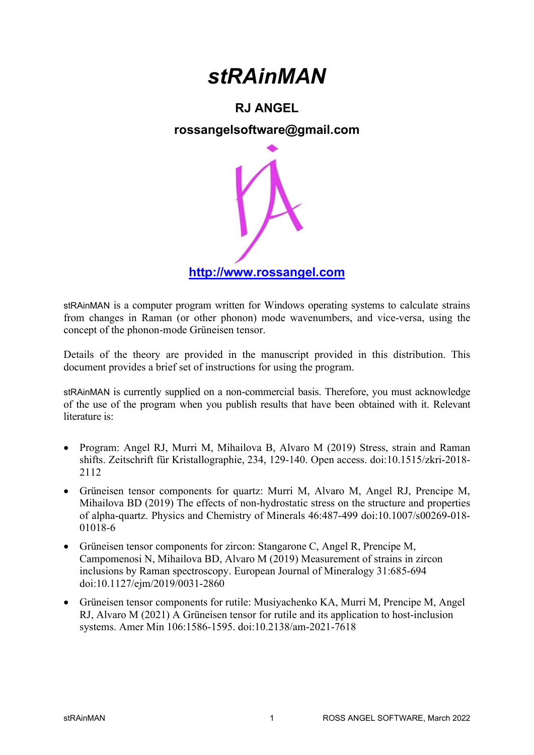# stRAinMAN

### RJ ANGEL

### rossangelsoftware@gmail.com



stRAinMAN is a computer program written for Windows operating systems to calculate strains from changes in Raman (or other phonon) mode wavenumbers, and vice-versa, using the concept of the phonon-mode Grüneisen tensor.

Details of the theory are provided in the manuscript provided in this distribution. This document provides a brief set of instructions for using the program.

stRAinMAN is currently supplied on a non-commercial basis. Therefore, you must acknowledge of the use of the program when you publish results that have been obtained with it. Relevant literature is:

- Program: Angel RJ, Murri M, Mihailova B, Alvaro M (2019) Stress, strain and Raman shifts. Zeitschrift für Kristallographie, 234, 129-140. Open access. doi:10.1515/zkri-2018- 2112
- Grüneisen tensor components for quartz: Murri M, Alvaro M, Angel RJ, Prencipe M, Mihailova BD (2019) The effects of non-hydrostatic stress on the structure and properties of alpha-quartz. Physics and Chemistry of Minerals 46:487-499 doi:10.1007/s00269-018- 01018-6
- Grüneisen tensor components for zircon: Stangarone C, Angel R, Prencipe M, Campomenosi N, Mihailova BD, Alvaro M (2019) Measurement of strains in zircon inclusions by Raman spectroscopy. European Journal of Mineralogy 31:685-694 doi:10.1127/ejm/2019/0031-2860
- Grüneisen tensor components for rutile: Musiyachenko KA, Murri M, Prencipe M, Angel RJ, Alvaro M (2021) A Grüneisen tensor for rutile and its application to host-inclusion systems. Amer Min 106:1586-1595. doi:10.2138/am-2021-7618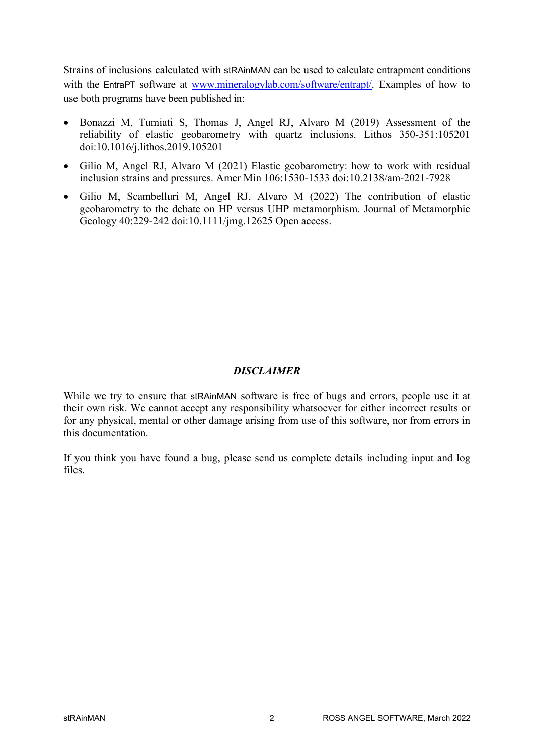Strains of inclusions calculated with stRAinMAN can be used to calculate entrapment conditions with the EntraPT software at www.mineralogylab.com/software/entrapt/. Examples of how to use both programs have been published in:

- Bonazzi M, Tumiati S, Thomas J, Angel RJ, Alvaro M (2019) Assessment of the reliability of elastic geobarometry with quartz inclusions. Lithos 350-351:105201 doi:10.1016/j.lithos.2019.105201
- Gilio M, Angel RJ, Alvaro M (2021) Elastic geobarometry: how to work with residual inclusion strains and pressures. Amer Min 106:1530-1533 doi:10.2138/am-2021-7928
- Gilio M, Scambelluri M, Angel RJ, Alvaro M (2022) The contribution of elastic geobarometry to the debate on HP versus UHP metamorphism. Journal of Metamorphic Geology 40:229-242 doi:10.1111/jmg.12625 Open access.

#### **DISCLAIMER**

While we try to ensure that stRAinMAN software is free of bugs and errors, people use it at their own risk. We cannot accept any responsibility whatsoever for either incorrect results or for any physical, mental or other damage arising from use of this software, nor from errors in this documentation.

If you think you have found a bug, please send us complete details including input and log files.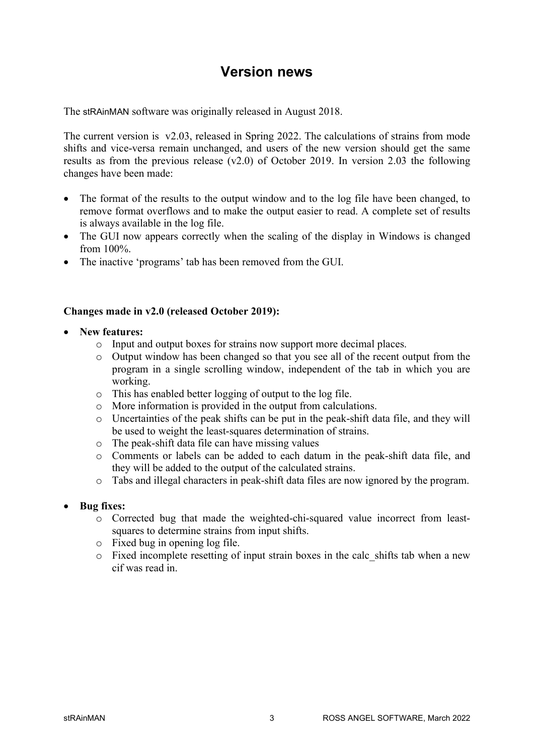### Version news

The stRAinMAN software was originally released in August 2018.

The current version is v2.03, released in Spring 2022. The calculations of strains from mode shifts and vice-versa remain unchanged, and users of the new version should get the same results as from the previous release (v2.0) of October 2019. In version 2.03 the following changes have been made:

- The format of the results to the output window and to the log file have been changed, to remove format overflows and to make the output easier to read. A complete set of results is always available in the log file.
- The GUI now appears correctly when the scaling of the display in Windows is changed from 100%.
- The inactive 'programs' tab has been removed from the GUI.

#### Changes made in v2.0 (released October 2019):

- New features:
	- o Input and output boxes for strains now support more decimal places.
	- o Output window has been changed so that you see all of the recent output from the program in a single scrolling window, independent of the tab in which you are working.
	- o This has enabled better logging of output to the log file.
	- o More information is provided in the output from calculations.
	- o Uncertainties of the peak shifts can be put in the peak-shift data file, and they will be used to weight the least-squares determination of strains.
	- o The peak-shift data file can have missing values
	- o Comments or labels can be added to each datum in the peak-shift data file, and they will be added to the output of the calculated strains.
	- o Tabs and illegal characters in peak-shift data files are now ignored by the program.
- Bug fixes:
	- o Corrected bug that made the weighted-chi-squared value incorrect from leastsquares to determine strains from input shifts.
	- o Fixed bug in opening log file.
	- o Fixed incomplete resetting of input strain boxes in the calc\_shifts tab when a new cif was read in.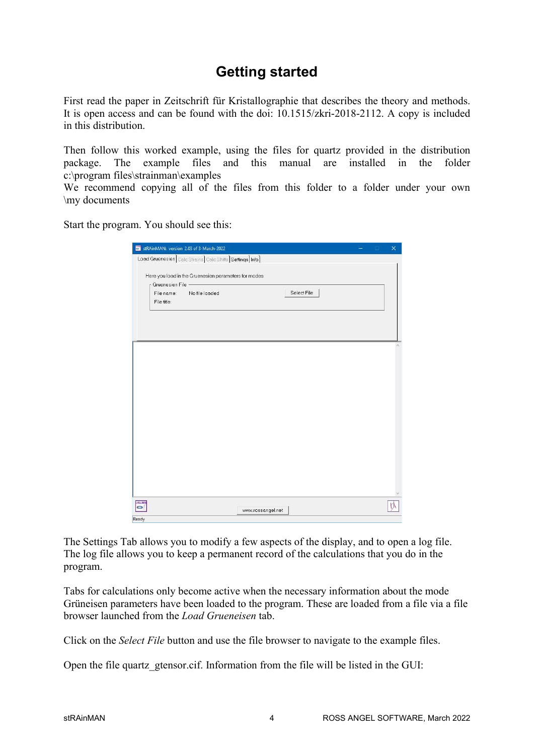## Getting started

First read the paper in Zeitschrift für Kristallographie that describes the theory and methods. It is open access and can be found with the doi: 10.1515/zkri-2018-2112. A copy is included in this distribution.

Then follow this worked example, using the files for quartz provided in the distribution package. The example files and this manual are installed in the folder c:\program files\strainman\examples

We recommend copying all of the files from this folder to a folder under your own \my documents

Start the program. You should see this:

| stRAinMAN: version 2.03 of 3-March-2022 |                |                                                                |                   |             |  | o | $\times$ |
|-----------------------------------------|----------------|----------------------------------------------------------------|-------------------|-------------|--|---|----------|
|                                         |                | Load Gruenesien   Calc Strains   Calc Shifts   Settings   Info |                   |             |  |   |          |
|                                         |                | Here you load in the Gruenesien parameters for modes           |                   |             |  |   |          |
| Gruenesien File -                       |                |                                                                |                   |             |  |   |          |
| File name:                              | No file loaded |                                                                |                   | Select File |  |   |          |
| File title:                             |                |                                                                |                   |             |  |   |          |
|                                         |                |                                                                |                   |             |  |   |          |
|                                         |                |                                                                |                   |             |  |   |          |
|                                         |                |                                                                |                   |             |  |   |          |
|                                         |                |                                                                |                   |             |  |   |          |
|                                         |                |                                                                |                   |             |  |   |          |
|                                         |                |                                                                |                   |             |  |   |          |
|                                         |                |                                                                |                   |             |  |   |          |
|                                         |                |                                                                |                   |             |  |   |          |
|                                         |                |                                                                |                   |             |  |   |          |
|                                         |                |                                                                |                   |             |  |   |          |
|                                         |                |                                                                |                   |             |  |   |          |
|                                         |                |                                                                |                   |             |  |   |          |
|                                         |                |                                                                |                   |             |  |   |          |
|                                         |                |                                                                |                   |             |  |   |          |
|                                         |                |                                                                |                   |             |  |   |          |
|                                         |                |                                                                |                   |             |  |   |          |
|                                         |                |                                                                |                   |             |  |   |          |
|                                         |                |                                                                |                   |             |  |   |          |
|                                         |                |                                                                |                   |             |  |   |          |
|                                         |                |                                                                |                   |             |  |   |          |
|                                         |                |                                                                |                   |             |  |   |          |
|                                         |                |                                                                |                   |             |  |   |          |
|                                         |                |                                                                |                   |             |  |   |          |
|                                         |                |                                                                |                   |             |  |   |          |
|                                         |                |                                                                |                   |             |  |   |          |
|                                         |                |                                                                |                   |             |  |   |          |
|                                         |                |                                                                |                   |             |  |   |          |
|                                         |                |                                                                |                   |             |  |   |          |
|                                         |                |                                                                |                   |             |  |   |          |
|                                         |                |                                                                |                   |             |  |   |          |
|                                         |                |                                                                |                   |             |  |   |          |
|                                         |                |                                                                |                   |             |  |   |          |
| <b>RAMM</b>                             |                |                                                                | www.rossangel.net |             |  |   |          |

The Settings Tab allows you to modify a few aspects of the display, and to open a log file. The log file allows you to keep a permanent record of the calculations that you do in the program.

Tabs for calculations only become active when the necessary information about the mode Grüneisen parameters have been loaded to the program. These are loaded from a file via a file browser launched from the Load Grueneisen tab.

Click on the Select File button and use the file browser to navigate to the example files.

Open the file quartz\_gtensor.cif. Information from the file will be listed in the GUI: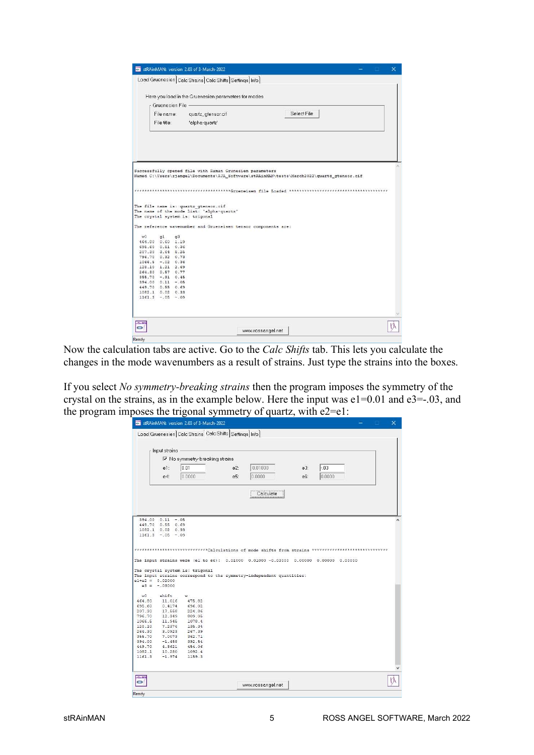|                |                      |    |                                      |                                           | Load Gruenesien Calc Strains Calc Shifts Settings Info                                     |             |  |              |  |
|----------------|----------------------|----|--------------------------------------|-------------------------------------------|--------------------------------------------------------------------------------------------|-------------|--|--------------|--|
|                |                      |    |                                      |                                           |                                                                                            |             |  |              |  |
|                |                      |    |                                      |                                           | Here you load in the Gruenesien parameters for modes                                       |             |  |              |  |
|                | Gruenesien File -    |    |                                      |                                           |                                                                                            |             |  |              |  |
|                |                      |    |                                      |                                           |                                                                                            | Select File |  |              |  |
|                | File name:           |    | quartz_gtensor.cif                   |                                           |                                                                                            |             |  |              |  |
|                | File title:          |    | 'alpha-quartz'                       |                                           |                                                                                            |             |  |              |  |
|                |                      |    |                                      |                                           |                                                                                            |             |  |              |  |
|                |                      |    |                                      |                                           |                                                                                            |             |  |              |  |
|                |                      |    |                                      |                                           |                                                                                            |             |  |              |  |
|                |                      |    |                                      |                                           |                                                                                            |             |  |              |  |
|                |                      |    |                                      |                                           |                                                                                            |             |  |              |  |
|                |                      |    |                                      |                                           |                                                                                            |             |  |              |  |
|                |                      |    |                                      |                                           | Successfully opened file with Raman Grunesien parameters                                   |             |  |              |  |
|                |                      |    |                                      |                                           | Named C:\Users\rjangel\Documents\RJA Software\stRAinMAN\tests\March2022\quartz gtensor.cif |             |  |              |  |
|                |                      |    |                                      |                                           |                                                                                            |             |  |              |  |
|                |                      |    |                                      |                                           |                                                                                            |             |  |              |  |
|                |                      |    |                                      |                                           |                                                                                            |             |  |              |  |
|                |                      |    |                                      |                                           | *************Grueneisen file Loaded *******************                                    |             |  | ************ |  |
|                |                      |    |                                      |                                           |                                                                                            |             |  |              |  |
|                |                      |    |                                      |                                           |                                                                                            |             |  |              |  |
|                |                      |    | The file name is: quartz gtensor.cif |                                           |                                                                                            |             |  |              |  |
|                |                      |    |                                      | The name of the mode list: 'alpha-quartz' |                                                                                            |             |  |              |  |
|                |                      |    | The crystal system is: trigonal      |                                           |                                                                                            |             |  |              |  |
|                |                      |    |                                      |                                           |                                                                                            |             |  |              |  |
|                |                      |    |                                      |                                           | The reference wavenumber and Grueneisen tensor components are:                             |             |  |              |  |
| w <sub>0</sub> | q1                   | q3 |                                      |                                           |                                                                                            |             |  |              |  |
|                | 464.80 0.60 1.19     |    |                                      |                                           |                                                                                            |             |  |              |  |
|                | 695.60 0.51 0.36     |    |                                      |                                           |                                                                                            |             |  |              |  |
|                | 207.30 3.64 5.25     |    |                                      |                                           |                                                                                            |             |  |              |  |
|                | 796.70 0.32 0.73     |    |                                      |                                           |                                                                                            |             |  |              |  |
|                | $1066.5 - 02 0.36$   |    |                                      |                                           |                                                                                            |             |  |              |  |
|                | 128.10 1.21 2.69     |    |                                      |                                           |                                                                                            |             |  |              |  |
|                | 264.30 0.57 0.77     |    |                                      |                                           |                                                                                            |             |  |              |  |
|                | $355.70 - 31 0.45$   |    |                                      |                                           |                                                                                            |             |  |              |  |
|                | $394.00$ $0.11$ -.05 |    |                                      |                                           |                                                                                            |             |  |              |  |
|                | 449.70 0.55 0.69     |    |                                      |                                           |                                                                                            |             |  |              |  |
|                | 1082.1 0.02 0.33     |    |                                      |                                           |                                                                                            |             |  |              |  |
|                | $1161.3 - .05 - .09$ |    |                                      |                                           |                                                                                            |             |  |              |  |
|                |                      |    |                                      |                                           |                                                                                            |             |  |              |  |
|                |                      |    |                                      |                                           |                                                                                            |             |  |              |  |
|                |                      |    |                                      |                                           |                                                                                            |             |  |              |  |
| <b>RAMA</b>    |                      |    |                                      |                                           |                                                                                            |             |  |              |  |

Now the calculation tabs are active. Go to the Calc Shifts tab. This lets you calculate the changes in the mode wavenumbers as a result of strains. Just type the strains into the boxes.

If you select No symmetry-breaking strains then the program imposes the symmetry of the crystal on the strains, as in the example below. Here the input was  $e1=0.01$  and  $e3=-0.03$ , and the program imposes the trigonal symmetry of quartz, with e2=e1:

| V No symmetry-breaking strains<br>0.01<br>0.0000<br>$394.00$ $0.11$ -.05<br>449.70 0.55 0.69 | $e2$ :<br>e5:                                                                                         | 0.01000<br>0.0000<br>Calculate | e3:<br>$e6$ : | $-.03$<br>0.0000                                                     |                                                                                                                                                                                           |
|----------------------------------------------------------------------------------------------|-------------------------------------------------------------------------------------------------------|--------------------------------|---------------|----------------------------------------------------------------------|-------------------------------------------------------------------------------------------------------------------------------------------------------------------------------------------|
|                                                                                              |                                                                                                       |                                |               |                                                                      |                                                                                                                                                                                           |
|                                                                                              |                                                                                                       |                                |               |                                                                      |                                                                                                                                                                                           |
|                                                                                              |                                                                                                       |                                |               |                                                                      |                                                                                                                                                                                           |
|                                                                                              |                                                                                                       |                                |               |                                                                      |                                                                                                                                                                                           |
|                                                                                              |                                                                                                       |                                |               |                                                                      |                                                                                                                                                                                           |
|                                                                                              |                                                                                                       |                                |               |                                                                      |                                                                                                                                                                                           |
| 1082.1 0.02 0.33                                                                             |                                                                                                       |                                |               |                                                                      |                                                                                                                                                                                           |
| $1161.3 - 05 - 09$                                                                           |                                                                                                       |                                |               |                                                                      |                                                                                                                                                                                           |
|                                                                                              |                                                                                                       |                                |               |                                                                      |                                                                                                                                                                                           |
| W                                                                                            |                                                                                                       |                                |               |                                                                      |                                                                                                                                                                                           |
| 475.82                                                                                       |                                                                                                       |                                |               |                                                                      |                                                                                                                                                                                           |
| 696.02                                                                                       |                                                                                                       |                                |               |                                                                      |                                                                                                                                                                                           |
|                                                                                              |                                                                                                       |                                |               |                                                                      |                                                                                                                                                                                           |
|                                                                                              |                                                                                                       |                                |               |                                                                      |                                                                                                                                                                                           |
|                                                                                              |                                                                                                       |                                |               |                                                                      |                                                                                                                                                                                           |
|                                                                                              |                                                                                                       |                                |               |                                                                      |                                                                                                                                                                                           |
|                                                                                              |                                                                                                       |                                |               |                                                                      |                                                                                                                                                                                           |
|                                                                                              |                                                                                                       |                                |               |                                                                      |                                                                                                                                                                                           |
| 454.06                                                                                       |                                                                                                       |                                |               |                                                                      |                                                                                                                                                                                           |
| 1092.4                                                                                       |                                                                                                       |                                |               |                                                                      |                                                                                                                                                                                           |
| 1159.3                                                                                       |                                                                                                       |                                |               |                                                                      |                                                                                                                                                                                           |
|                                                                                              |                                                                                                       |                                |               |                                                                      |                                                                                                                                                                                           |
|                                                                                              | The crystal system is: trigonal<br>224.86<br>809.05<br>1078.4<br>135.34<br>267.39<br>362.71<br>392.54 |                                |               | The input strains correspond to the symmetry-independent quantities: | ***************************Calculations of mode shifts from strains ******************************<br>The input strains were (el to e6): 0.01000 0.01000 -0.03000 0.00000 0.00000 0.00000 |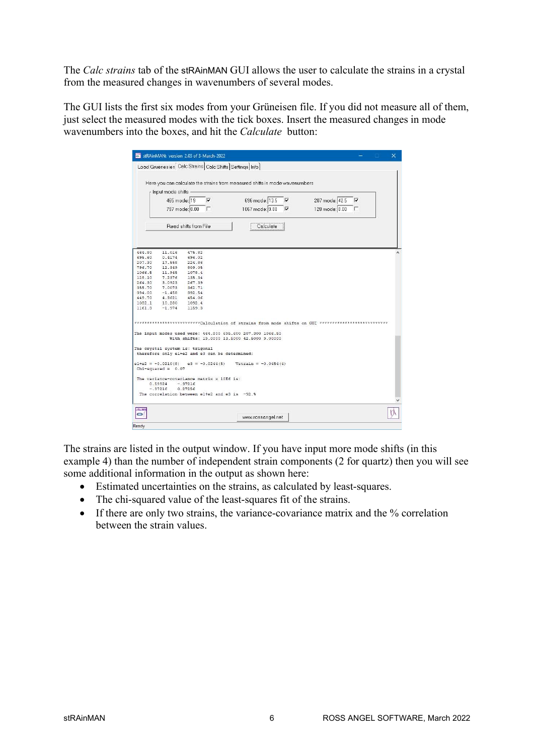The Calc strains tab of the stRAinMAN GUI allows the user to calculate the strains in a crystal from the measured changes in wavenumbers of several modes.

The GUI lists the first six modes from your Grüneisen file. If you did not measure all of them, just select the measured modes with the tick boxes. Insert the measured changes in mode wavenumbers into the boxes, and hit the *Calculate* button:

|                  |                         | stRAinMAN: version 2.03 of 3-March-2022                                                                                 | n<br>×                                                                                          |
|------------------|-------------------------|-------------------------------------------------------------------------------------------------------------------------|-------------------------------------------------------------------------------------------------|
|                  |                         | Load Gruenesien <sup>1</sup> Calc Strains <sup>1</sup> Calc Shifts <sup>1</sup> Settings <sup>1</sup> Info <sup>1</sup> |                                                                                                 |
|                  |                         |                                                                                                                         |                                                                                                 |
|                  |                         |                                                                                                                         |                                                                                                 |
|                  |                         |                                                                                                                         | Here you can calculate the strains from measured shifts in mode wavenumbers                     |
|                  | Input mode shifts       |                                                                                                                         |                                                                                                 |
|                  | 465 mode: 19            | $\overline{\mathbf{v}}$                                                                                                 | 207 mode: 42.5<br>$\overline{\mathbf{v}}$<br>⊽                                                  |
|                  |                         |                                                                                                                         | 696 mode: 13.5                                                                                  |
|                  |                         | 797 mode: 0.00                                                                                                          | 1067 mode: 9.00<br>ा⊏<br>$\overline{\mathbf{v}}$<br>128 mode: 0.00                              |
|                  |                         |                                                                                                                         |                                                                                                 |
|                  |                         | Bead shifts from File                                                                                                   | Calculate                                                                                       |
|                  |                         |                                                                                                                         |                                                                                                 |
|                  |                         |                                                                                                                         |                                                                                                 |
|                  |                         |                                                                                                                         |                                                                                                 |
| 464.80<br>695.60 | 11.016<br>0.4174        | 475.82<br>696.02                                                                                                        |                                                                                                 |
| 207.30           | 17.558                  | 224.86                                                                                                                  |                                                                                                 |
| 796.70           | 12.349                  | 809.05                                                                                                                  |                                                                                                 |
|                  | 1066.5 11.945           | 1078.4                                                                                                                  |                                                                                                 |
| 128.10           | $7.2376$ 135.34         |                                                                                                                         |                                                                                                 |
| 264.30           | 3.0923                  | 267.39                                                                                                                  |                                                                                                 |
|                  | 355.70 7.0073 362.71    |                                                                                                                         |                                                                                                 |
|                  | 394.00 -1.458 392.54    |                                                                                                                         |                                                                                                 |
| 449.70           | 4.3621                  | 454.06                                                                                                                  |                                                                                                 |
| 1082.1           | 10.280                  | 1092.4                                                                                                                  |                                                                                                 |
| 1161.3           | $-1.974$                | 1159.3                                                                                                                  |                                                                                                 |
|                  |                         |                                                                                                                         |                                                                                                 |
|                  |                         |                                                                                                                         |                                                                                                 |
|                  |                         |                                                                                                                         | ********************Calculation of strains from mode shifts on GUI **************************** |
|                  |                         |                                                                                                                         | The input modes used were: 464.800 695.600 207.300 1066.50                                      |
|                  |                         |                                                                                                                         | With shifts: 19,0000 13,5000 42,5000 9,00000                                                    |
|                  |                         |                                                                                                                         |                                                                                                 |
|                  |                         | The crystal system is: trigonal                                                                                         |                                                                                                 |
|                  |                         | therefore only el+e2 and e3 can be determined:                                                                          |                                                                                                 |
|                  |                         | $e1+e2 = -0.0210(8)$ $e3 = -0.0244(5)$                                                                                  | $Vstrain = -0.0454(4)$                                                                          |
|                  | $Chi$ -squared = $0.07$ |                                                                                                                         |                                                                                                 |
|                  |                         |                                                                                                                         |                                                                                                 |
|                  |                         | The variance-covariance matrix x 10E6 is:                                                                               |                                                                                                 |
|                  | 0.59924                 | $-.37216$                                                                                                               |                                                                                                 |
|                  | $-.37216$               | 0.27256                                                                                                                 |                                                                                                 |
|                  |                         | The correlation between el+e2 and e3 is -92.%                                                                           |                                                                                                 |
|                  |                         |                                                                                                                         |                                                                                                 |
|                  |                         |                                                                                                                         |                                                                                                 |
| $-0.4 - 0.0$     |                         |                                                                                                                         |                                                                                                 |
| $\bullet$        |                         |                                                                                                                         | www.rossangel.net                                                                               |

The strains are listed in the output window. If you have input more mode shifts (in this example 4) than the number of independent strain components (2 for quartz) then you will see some additional information in the output as shown here:

- Estimated uncertainties on the strains, as calculated by least-squares.
- The chi-squared value of the least-squares fit of the strains.
- If there are only two strains, the variance-covariance matrix and the % correlation between the strain values.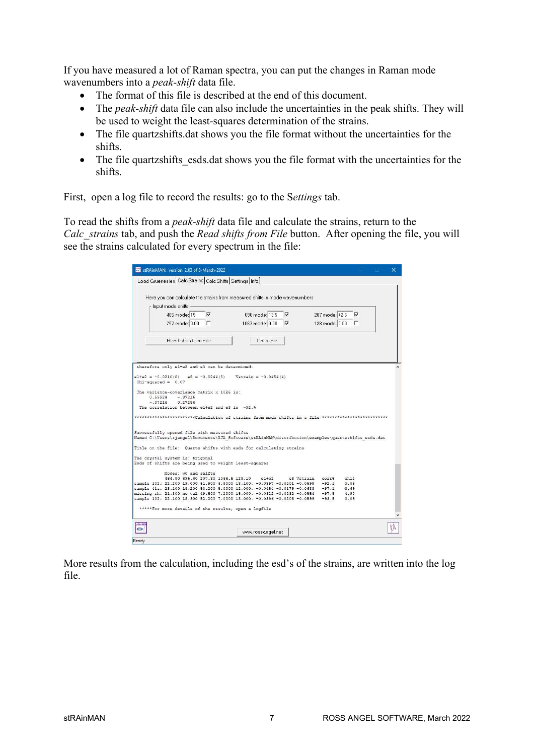If you have measured a lot of Raman spectra, you can put the changes in Raman mode wavenumbers into a *peak-shift* data file.

- The format of this file is described at the end of this document.
- $\bullet$  The *peak-shift* data file can also include the uncertainties in the peak shifts. They will be used to weight the least-squares determination of the strains.
- The file quartzshifts.dat shows you the file format without the uncertainties for the shifts.
- The file quartzshifts esds.dat shows you the file format with the uncertainties for the shifts.

First, open a log file to record the results: go to the Settings tab.

To read the shifts from a peak-shift data file and calculate the strains, return to the Calc strains tab, and push the Read shifts from File button. After opening the file, you will see the strains calculated for every spectrum in the file:

|                                        | stRAinMAN: version 2.03 of 3-March-2022                                                  |                                                                                                                                                                     |                  |                         | × |
|----------------------------------------|------------------------------------------------------------------------------------------|---------------------------------------------------------------------------------------------------------------------------------------------------------------------|------------------|-------------------------|---|
|                                        | Load Gruenesien Calc Strains Calc Shifts Settings Info                                   |                                                                                                                                                                     |                  |                         |   |
|                                        |                                                                                          |                                                                                                                                                                     |                  |                         |   |
|                                        |                                                                                          | Here you can calculate the strains from measured shifts in mode wavenumbers                                                                                         |                  |                         |   |
| Input mode shifts -                    |                                                                                          |                                                                                                                                                                     |                  |                         |   |
|                                        | 465 mode: 19 $\overline{v}$                                                              | 696 mode: 13.5 $\nabla$                                                                                                                                             | 207 mode: 42.5   | $\overline{\mathbf{v}}$ |   |
|                                        |                                                                                          |                                                                                                                                                                     |                  |                         |   |
|                                        | 797 mode: 0.00                                                                           | 1067 mode: 9.00 $\nabla$                                                                                                                                            | 128 mode: 0.00   | 厂                       |   |
|                                        | <b>Bead shifts from File</b>                                                             | Calculate                                                                                                                                                           |                  |                         |   |
|                                        | therefore only el+e2 and e3 can be determined:                                           |                                                                                                                                                                     |                  |                         |   |
| $Chi$ -squared = $0.07$                | $e1+e2 = -0.0210(8)$ $e3 = -0.0244(5)$                                                   | $Vstrain = -0.0454(4)$                                                                                                                                              |                  |                         |   |
| $0.59924 - 37216$<br>$-.37216$ 0.27256 | The variance-covariance matrix x 10E6 is:                                                |                                                                                                                                                                     |                  |                         |   |
|                                        | The correlation between el+e2 and e3 is -92.%                                            |                                                                                                                                                                     |                  |                         |   |
|                                        |                                                                                          | **********************Calculation of strains from mode shifts in a file **************************                                                                  |                  |                         |   |
|                                        | Successfully opened file with measured shifts                                            | Named C:\Users\rjangel\Documents\RJA Software\stRAinMAN\distribution\examples\quartzshifts esds.dat                                                                 |                  |                         |   |
|                                        |                                                                                          | Title on the file: Quartz shifts with esds for calculating strains                                                                                                  |                  |                         |   |
|                                        | The crystal system is: trigonal<br>Esds of shifts are being used to weight least-squares |                                                                                                                                                                     |                  |                         |   |
|                                        | Modes: w0 and shifts                                                                     |                                                                                                                                                                     |                  |                         |   |
|                                        |                                                                                          | 464.80 695.60 207.30 1066.5 128.10 elte2                                                                                                                            | e3 Vstrain corr& | chi2                    |   |
|                                        |                                                                                          | sample 102: 22.200 19.000 51.900 6.8000 13.100: -0.0397 -0.0201 -0.0598 -92.1                                                                                       |                  | 0.03                    |   |
|                                        |                                                                                          | sample 41a: 23.100 18.200 53.200 5.0000 12.000: -0.0454 -0.0179 -0.0633 -97.1 3.69                                                                                  |                  |                         |   |
|                                        |                                                                                          | missing sh: 21.300 no val 49.500 7.2000 15.000: -0.0322 -0.0232 -0.0554 -97.5 4.90<br>sample 102: 22.100 18.900 52.200 7.0000 13.000: -0.0396 -0.0203 -0.0599 -93.5 |                  | 0.09                    |   |
|                                        | *****For more details of the results, open a logfile                                     |                                                                                                                                                                     |                  |                         |   |
| <b>24.WI</b>                           |                                                                                          |                                                                                                                                                                     |                  |                         |   |
|                                        |                                                                                          | www.rossangel.net                                                                                                                                                   |                  |                         |   |
| Ready                                  |                                                                                          |                                                                                                                                                                     |                  |                         |   |

More results from the calculation, including the esd's of the strains, are written into the log file.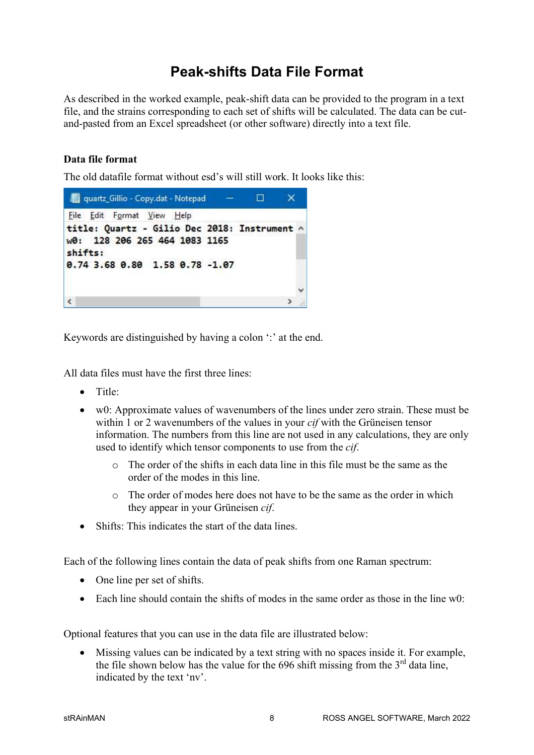# Peak-shifts Data File Format

As described in the worked example, peak-shift data can be provided to the program in a text file, and the strains corresponding to each set of shifts will be calculated. The data can be cutand-pasted from an Excel spreadsheet (or other software) directly into a text file.

#### Data file format

The old datafile format without esd's will still work. It looks like this:



Keywords are distinguished by having a colon ':' at the end.

All data files must have the first three lines:

- Title:
- w0: Approximate values of wavenumbers of the lines under zero strain. These must be within 1 or 2 wavenumbers of the values in your *cif* with the Grüneisen tensor information. The numbers from this line are not used in any calculations, they are only used to identify which tensor components to use from the *cif*.
	- o The order of the shifts in each data line in this file must be the same as the order of the modes in this line.
	- o The order of modes here does not have to be the same as the order in which they appear in your Grüneisen cif.
- Shifts: This indicates the start of the data lines.

Each of the following lines contain the data of peak shifts from one Raman spectrum:

- One line per set of shifts.
- $\bullet$  Each line should contain the shifts of modes in the same order as those in the line w0:

Optional features that you can use in the data file are illustrated below:

 Missing values can be indicated by a text string with no spaces inside it. For example, the file shown below has the value for the 696 shift missing from the  $3<sup>rd</sup>$  data line, indicated by the text 'nv'.